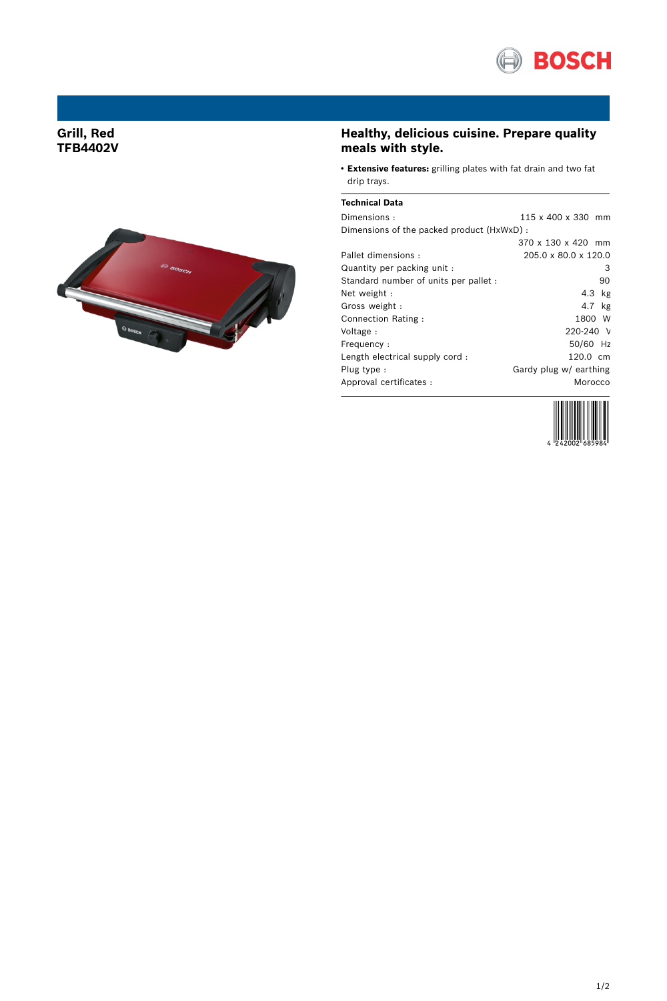

## **Grill, Red TFB4402V**



# **Healthy, delicious cuisine. Prepare quality meals with style.**

● **Extensive features:** grilling plates with fat drain and two fat drip trays.

#### **Technical Data**

| Dimensions:                                | 115 x 400 x 330 mm     |
|--------------------------------------------|------------------------|
| Dimensions of the packed product (HxWxD) : |                        |
|                                            | 370 x 130 x 420 mm     |
| Pallet dimensions:                         | 205.0 x 80.0 x 120.0   |
| Quantity per packing unit :                | З                      |
| Standard number of units per pallet :      | 90                     |
| Net weight:                                | $4.3$ kg               |
| Gross weight:                              | 4.7 kg                 |
| Connection Rating:                         | 1800 W                 |
| Voltage:                                   | 220-240 V              |
| Frequency:                                 | 50/60 Hz               |
| Length electrical supply cord:             | 120.0 cm               |
| Plug type:                                 | Gardy plug w/ earthing |
| Approval certificates :                    | Morocco                |